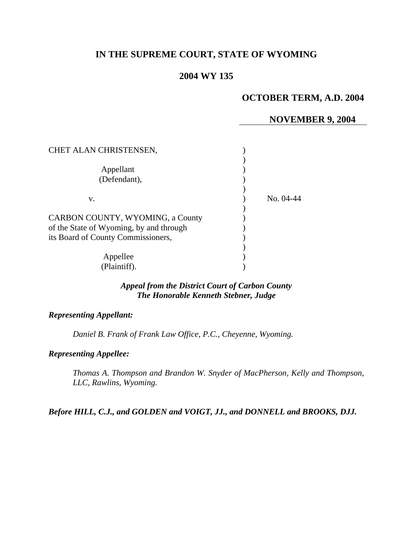## **IN THE SUPREME COURT, STATE OF WYOMING**

## **2004 WY 135**

# **OCTOBER TERM, A.D. 2004**

#### **NOVEMBER 9, 2004**

| CHET ALAN CHRISTENSEN,                  |           |
|-----------------------------------------|-----------|
| Appellant                               |           |
| (Defendant),                            |           |
| V.                                      | No. 04-44 |
| CARBON COUNTY, WYOMING, a County        |           |
| of the State of Wyoming, by and through |           |
| its Board of County Commissioners,      |           |
|                                         |           |
| Appellee                                |           |
| (Plaintiff).                            |           |

### *Appeal from the District Court of Carbon County The Honorable Kenneth Stebner, Judge*

### *Representing Appellant:*

*Daniel B. Frank of Frank Law Office, P.C., Cheyenne, Wyoming.* 

#### *Representing Appellee:*

*Thomas A. Thompson and Brandon W. Snyder of MacPherson, Kelly and Thompson, LLC, Rawlins, Wyoming.* 

*Before HILL, C.J., and GOLDEN and VOIGT, JJ., and DONNELL and BROOKS, DJJ.*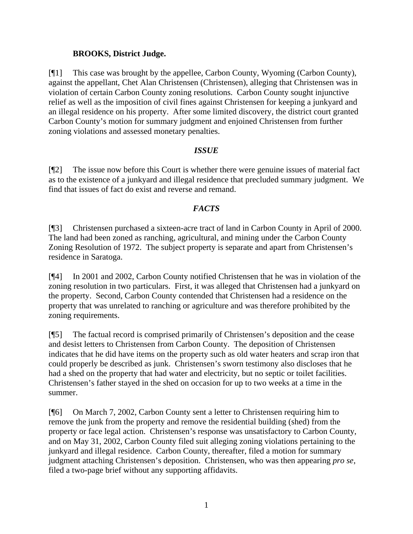### **BROOKS, District Judge.**

[¶1] This case was brought by the appellee, Carbon County, Wyoming (Carbon County), against the appellant, Chet Alan Christensen (Christensen), alleging that Christensen was in violation of certain Carbon County zoning resolutions. Carbon County sought injunctive relief as well as the imposition of civil fines against Christensen for keeping a junkyard and an illegal residence on his property. After some limited discovery, the district court granted Carbon County's motion for summary judgment and enjoined Christensen from further zoning violations and assessed monetary penalties.

### *ISSUE*

[¶2] The issue now before this Court is whether there were genuine issues of material fact as to the existence of a junkyard and illegal residence that precluded summary judgment. We find that issues of fact do exist and reverse and remand.

### *FACTS*

[¶3] Christensen purchased a sixteen-acre tract of land in Carbon County in April of 2000. The land had been zoned as ranching, agricultural, and mining under the Carbon County Zoning Resolution of 1972. The subject property is separate and apart from Christensen's residence in Saratoga.

[¶4] In 2001 and 2002, Carbon County notified Christensen that he was in violation of the zoning resolution in two particulars. First, it was alleged that Christensen had a junkyard on the property. Second, Carbon County contended that Christensen had a residence on the property that was unrelated to ranching or agriculture and was therefore prohibited by the zoning requirements.

[¶5] The factual record is comprised primarily of Christensen's deposition and the cease and desist letters to Christensen from Carbon County. The deposition of Christensen indicates that he did have items on the property such as old water heaters and scrap iron that could properly be described as junk. Christensen's sworn testimony also discloses that he had a shed on the property that had water and electricity, but no septic or toilet facilities. Christensen's father stayed in the shed on occasion for up to two weeks at a time in the summer.

[¶6] On March 7, 2002, Carbon County sent a letter to Christensen requiring him to remove the junk from the property and remove the residential building (shed) from the property or face legal action. Christensen's response was unsatisfactory to Carbon County, and on May 31, 2002, Carbon County filed suit alleging zoning violations pertaining to the junkyard and illegal residence. Carbon County, thereafter, filed a motion for summary judgment attaching Christensen's deposition. Christensen, who was then appearing *pro se*, filed a two-page brief without any supporting affidavits.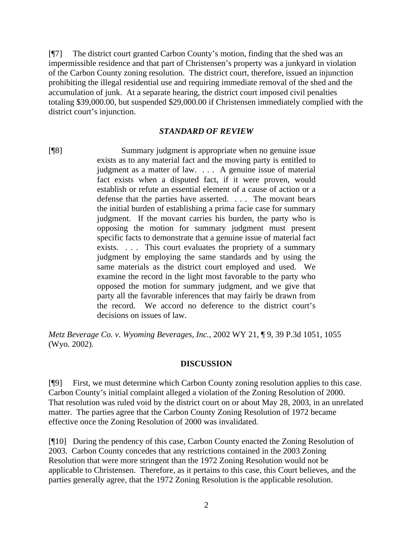[¶7] The district court granted Carbon County's motion, finding that the shed was an impermissible residence and that part of Christensen's property was a junkyard in violation of the Carbon County zoning resolution. The district court, therefore, issued an injunction prohibiting the illegal residential use and requiring immediate removal of the shed and the accumulation of junk. At a separate hearing, the district court imposed civil penalties totaling \$39,000.00, but suspended \$29,000.00 if Christensen immediately complied with the district court's injunction.

#### *STANDARD OF REVIEW*

[¶8] Summary judgment is appropriate when no genuine issue exists as to any material fact and the moving party is entitled to judgment as a matter of law. . . . A genuine issue of material fact exists when a disputed fact, if it were proven, would establish or refute an essential element of a cause of action or a defense that the parties have asserted. . . . The movant bears the initial burden of establishing a prima facie case for summary judgment. If the movant carries his burden, the party who is opposing the motion for summary judgment must present specific facts to demonstrate that a genuine issue of material fact exists. . . . This court evaluates the propriety of a summary judgment by employing the same standards and by using the same materials as the district court employed and used. We examine the record in the light most favorable to the party who opposed the motion for summary judgment, and we give that party all the favorable inferences that may fairly be drawn from the record. We accord no deference to the district court's decisions on issues of law.

*Metz Beverage Co. v. Wyoming Beverages, Inc.*, 2002 WY 21, ¶ 9, 39 P.3d 1051, 1055 (Wyo. 2002).

#### **DISCUSSION**

[¶9] First, we must determine which Carbon County zoning resolution applies to this case. Carbon County's initial complaint alleged a violation of the Zoning Resolution of 2000. That resolution was ruled void by the district court on or about May 28, 2003, in an unrelated matter. The parties agree that the Carbon County Zoning Resolution of 1972 became effective once the Zoning Resolution of 2000 was invalidated.

[¶10] During the pendency of this case, Carbon County enacted the Zoning Resolution of 2003. Carbon County concedes that any restrictions contained in the 2003 Zoning Resolution that were more stringent than the 1972 Zoning Resolution would not be applicable to Christensen. Therefore, as it pertains to this case, this Court believes, and the parties generally agree, that the 1972 Zoning Resolution is the applicable resolution.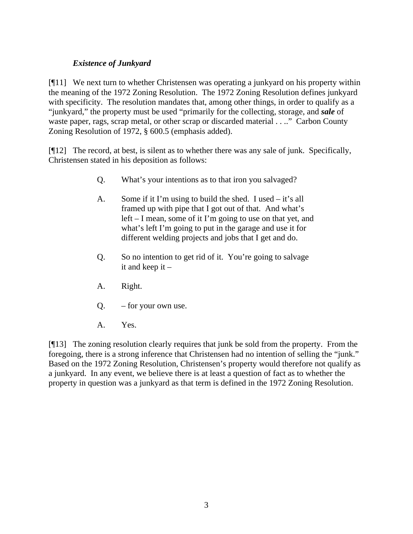## *Existence of Junkyard*

[¶11] We next turn to whether Christensen was operating a junkyard on his property within the meaning of the 1972 Zoning Resolution. The 1972 Zoning Resolution defines junkyard with specificity. The resolution mandates that, among other things, in order to qualify as a "junkyard," the property must be used "primarily for the collecting, storage, and *sale* of waste paper, rags, scrap metal, or other scrap or discarded material . . .." Carbon County Zoning Resolution of 1972, § 600.5 (emphasis added).

[¶12] The record, at best, is silent as to whether there was any sale of junk. Specifically, Christensen stated in his deposition as follows:

- Q. What's your intentions as to that iron you salvaged?
- A. Some if it I'm using to build the shed. I used it's all framed up with pipe that I got out of that. And what's left – I mean, some of it I'm going to use on that yet, and what's left I'm going to put in the garage and use it for different welding projects and jobs that I get and do.
- Q. So no intention to get rid of it. You're going to salvage it and keep it –
- A. Right.
- $Q.$  for your own use.
- A. Yes.

[¶13] The zoning resolution clearly requires that junk be sold from the property. From the foregoing, there is a strong inference that Christensen had no intention of selling the "junk." Based on the 1972 Zoning Resolution, Christensen's property would therefore not qualify as a junkyard. In any event, we believe there is at least a question of fact as to whether the property in question was a junkyard as that term is defined in the 1972 Zoning Resolution.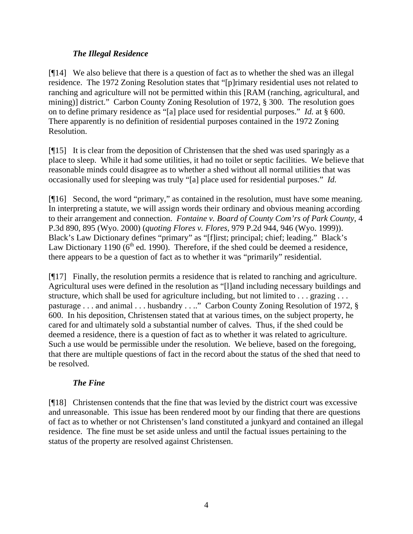## *The Illegal Residence*

[¶14] We also believe that there is a question of fact as to whether the shed was an illegal residence. The 1972 Zoning Resolution states that "[p]rimary residential uses not related to ranching and agriculture will not be permitted within this [RAM (ranching, agricultural, and mining)] district." Carbon County Zoning Resolution of 1972, § 300. The resolution goes on to define primary residence as "[a] place used for residential purposes." *Id.* at § 600. There apparently is no definition of residential purposes contained in the 1972 Zoning Resolution.

[¶15] It is clear from the deposition of Christensen that the shed was used sparingly as a place to sleep. While it had some utilities, it had no toilet or septic facilities. We believe that reasonable minds could disagree as to whether a shed without all normal utilities that was occasionally used for sleeping was truly "[a] place used for residential purposes." *Id.*

[¶16] Second, the word "primary," as contained in the resolution, must have some meaning. In interpreting a statute, we will assign words their ordinary and obvious meaning according to their arrangement and connection. *Fontaine v. Board of County Com'rs of Park County*, 4 P.3d 890, 895 (Wyo. 2000) (*quoting Flores v. Flores*, 979 P.2d 944, 946 (Wyo. 1999)). Black's Law Dictionary defines "primary" as "[f]irst; principal; chief; leading." Black's Law Dictionary 1190 ( $6<sup>th</sup>$  ed. 1990). Therefore, if the shed could be deemed a residence, there appears to be a question of fact as to whether it was "primarily" residential.

[¶17] Finally, the resolution permits a residence that is related to ranching and agriculture. Agricultural uses were defined in the resolution as "[l]and including necessary buildings and structure, which shall be used for agriculture including, but not limited to . . . grazing . . . pasturage . . . and animal . . . husbandry . . .." Carbon County Zoning Resolution of 1972, § 600. In his deposition, Christensen stated that at various times, on the subject property, he cared for and ultimately sold a substantial number of calves. Thus, if the shed could be deemed a residence, there is a question of fact as to whether it was related to agriculture. Such a use would be permissible under the resolution. We believe, based on the foregoing, that there are multiple questions of fact in the record about the status of the shed that need to be resolved.

## *The Fine*

[¶18] Christensen contends that the fine that was levied by the district court was excessive and unreasonable. This issue has been rendered moot by our finding that there are questions of fact as to whether or not Christensen's land constituted a junkyard and contained an illegal residence. The fine must be set aside unless and until the factual issues pertaining to the status of the property are resolved against Christensen.